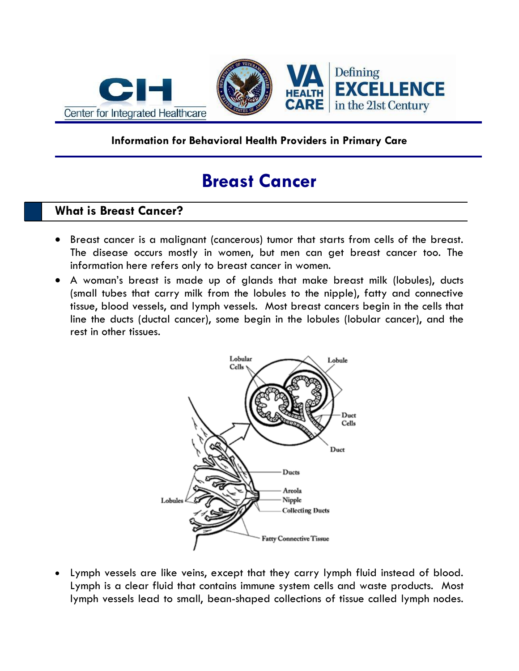

### **Information for Behavioral Health Providers in Primary Care**

# **Breast Cancer**

# **What is Breast Cancer?**

- Breast cancer is a malignant (cancerous) tumor that starts from cells of the breast. The disease occurs mostly in women, but men can get breast cancer too. The information here refers only to breast cancer in women.
- A woman's breast is made up of glands that make breast milk (lobules), ducts (small tubes that carry milk from the lobules to the nipple), fatty and connective tissue, blood vessels, and lymph vessels. Most breast cancers begin in the cells that line the ducts (ductal cancer), some begin in the lobules (lobular cancer), and the rest in other tissues.



 Lymph vessels are like veins, except that they carry lymph fluid instead of blood. Lymph is a clear fluid that contains immune system cells and waste products. Most lymph vessels lead to small, bean-shaped collections of tissue called lymph nodes.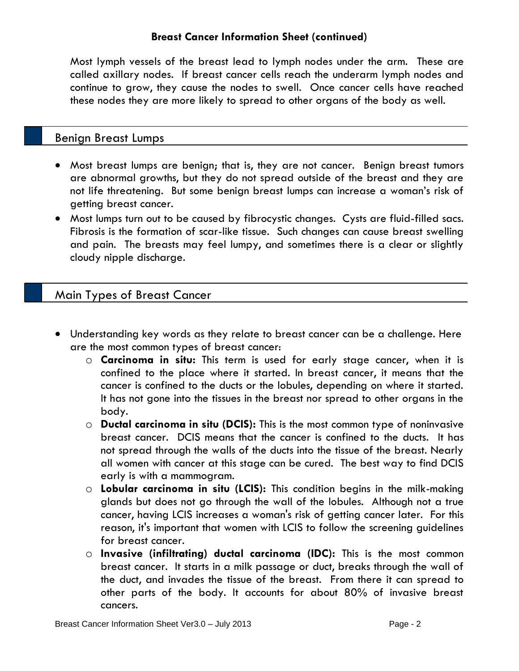### **Breast Cancer Information Sheet (continued)**

Most lymph vessels of the breast lead to lymph nodes under the arm. These are called axillary nodes. If breast cancer cells reach the underarm lymph nodes and continue to grow, they cause the nodes to swell. Once cancer cells have reached these nodes they are more likely to spread to other organs of the body as well.

## Benign Breast Lumps

- Most breast lumps are benign; that is, they are not cancer. Benign breast tumors are abnormal growths, but they do not spread outside of the breast and they are not life threatening. But some benign breast lumps can increase a woman's risk of getting breast cancer.
- Most lumps turn out to be caused by fibrocystic changes. Cysts are fluid-filled sacs. Fibrosis is the formation of scar-like tissue. Such changes can cause breast swelling and pain. The breasts may feel lumpy, and sometimes there is a clear or slightly cloudy nipple discharge.

# Main Types of Breast Cancer

- Understanding key words as they relate to breast cancer can be a challenge. Here are the most common types of breast cancer:
	- o **Carcinoma in situ:** This term is used for early stage cancer, when it is confined to the place where it started. In breast cancer, it means that the cancer is confined to the ducts or the lobules, depending on where it started. It has not gone into the tissues in the breast nor spread to other organs in the body.
	- o **Ductal carcinoma in situ (DCIS):** This is the most common type of noninvasive breast cancer. DCIS means that the cancer is confined to the ducts. It has not spread through the walls of the ducts into the tissue of the breast. Nearly all women with cancer at this stage can be cured. The best way to find DCIS early is with a mammogram.
	- o **Lobular carcinoma in situ (LCIS):** This condition begins in the milk-making glands but does not go through the wall of the lobules. Although not a true cancer, having LCIS increases a woman's risk of getting cancer later. For this reason, it's important that women with LCIS to follow the screening guidelines for breast cancer.
	- o **Invasive (infiltrating) ductal carcinoma (IDC):** This is the most common breast cancer. It starts in a milk passage or duct, breaks through the wall of the duct, and invades the tissue of the breast. From there it can spread to other parts of the body. It accounts for about 80% of invasive breast cancers.